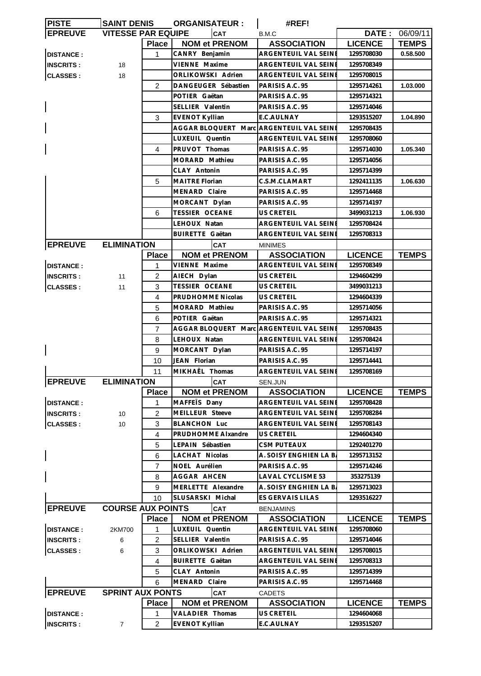| <b>PISTE</b>     | <b>SAINT DENIS</b>        |                 | <b>ORGANISATEUR:</b>                     | #REF!                       |                |                       |
|------------------|---------------------------|-----------------|------------------------------------------|-----------------------------|----------------|-----------------------|
| <b>EPREUVE</b>   | <b>VITESSE PAR EQUIPE</b> |                 | CAT                                      | B.M.C                       |                | <b>DATE: 06/09/11</b> |
|                  |                           | <b>Place</b>    | <b>NOM et PRENOM</b>                     | <b>ASSOCIATION</b>          | <b>LICENCE</b> | <b>TEMPS</b>          |
| <b>DISTANCE:</b> |                           | 1               | CANRY Benjamin                           | ARGENTEUIL VAL SEINE        | 1295708030     | 0.58.500              |
| <b>INSCRITS:</b> | 18                        |                 | VIENNE Maxime                            | ARGENTEUIL VAL SEINE        | 1295708349     |                       |
| <b>CLASSES:</b>  | 18                        |                 | ORLIKOWSKI Adrien                        | ARGENTEUIL VAL SEINE        | 1295708015     |                       |
|                  |                           | $\overline{2}$  | DANGEUGER Sébastien                      | PARISIS A.C. 95             | 1295714261     | 1.03.000              |
|                  |                           |                 | POTIER Gaëtan                            | PARISIS A.C. 95             | 1295714321     |                       |
|                  |                           |                 | SELLIER Valentin                         | PARISIS A.C. 95             | 1295714046     |                       |
|                  |                           | 3               | <b>EVENOT Kyllian</b>                    | E.C.AULNAY                  | 1293515207     | 1.04.890              |
|                  |                           |                 | AGGAR BLOQUERT Marc ARGENTEUIL VAL SEINE |                             | 1295708435     |                       |
| 4                |                           | LUXEUIL Quentin | ARGENTEUIL VAL SEINE                     | 1295708060                  |                |                       |
|                  |                           | PRUVOT Thomas   | PARISIS A.C. 95                          | 1295714030                  | 1.05.340       |                       |
|                  |                           |                 | MORARD Mathieu                           | PARISIS A.C. 95             | 1295714056     |                       |
|                  |                           |                 | CLAY Antonin                             | PARISIS A.C. 95             | 1295714399     |                       |
|                  |                           | 5               | <b>MAITRE Florian</b>                    | C.S.M.CLAMART               | 1292411135     | 1.06.630              |
|                  |                           |                 |                                          |                             | 1295714468     |                       |
|                  |                           |                 | MENARD Claire                            | PARISIS A.C. 95             |                |                       |
|                  |                           |                 | MORCANT Dylan                            | PARISIS A.C. 95             | 1295714197     |                       |
|                  |                           | 6               | <b>TESSIER OCEANE</b>                    | <b>US CRETEIL</b>           | 3499031213     | 1.06.930              |
|                  |                           |                 | LEHOUX Natan                             | ARGENTEUIL VAL SEINE        | 1295708424     |                       |
|                  |                           |                 | <b>BUIRETTE Gaëtan</b>                   | <b>ARGENTEUIL VAL SEINE</b> | 1295708313     |                       |
| <b>EPREUVE</b>   | <b>ELIMINATION</b>        |                 | <b>CAT</b>                               | <b>MINIMES</b>              |                |                       |
|                  |                           | <b>Place</b>    | <b>NOM et PRENOM</b>                     | <b>ASSOCIATION</b>          | <b>LICENCE</b> | <b>TEMPS</b>          |
| <b>DISTANCE:</b> |                           | 1               | VIENNE Maxime                            | ARGENTEUIL VAL SEINE        | 1295708349     |                       |
| <b>INSCRITS:</b> | 11                        | $\overline{2}$  | AIECH Dylan                              | US CRETEIL                  | 1294604299     |                       |
| <b>CLASSES:</b>  | 11                        | 3               | TESSIER OCEANE                           | US CRETEIL                  | 3499031213     |                       |
|                  |                           | 4               | PRUDHOMME Nicolas                        | US CRETEIL                  | 1294604339     |                       |
|                  |                           | 5               | MORARD Mathieu                           | PARISIS A.C. 95             | 1295714056     |                       |
|                  |                           | 6               | POTIER Gaëtan                            | PARISIS A.C. 95             | 1295714321     |                       |
|                  |                           | 7               | AGGAR BLOQUERT Marc ARGENTEUIL VAL SEINE |                             | 1295708435     |                       |
|                  |                           | 8               | LEHOUX Natan                             | ARGENTEUIL VAL SEINE        | 1295708424     |                       |
|                  |                           | 9               | MORCANT Dylan                            | PARISIS A.C. 95             | 1295714197     |                       |
|                  |                           | 10              | JEAN Florian                             | PARISIS A.C. 95             | 1295714441     |                       |
|                  |                           | 11              | MIKHAËL Thomas                           | ARGENTEUIL VAL SEINE        | 1295708169     |                       |
| <b>EPREUVE</b>   | <b>ELIMINATION</b>        |                 | CAT                                      | SEN.JUN                     |                |                       |
|                  |                           | <b>Place</b>    | <b>NOM et PRENOM</b>                     | <b>ASSOCIATION</b>          | <b>LICENCE</b> | <b>TEMPS</b>          |
| <b>DISTANCE:</b> |                           | 1               | MAFFETS Dany                             | ARGENTEUIL VAL SEINE        | 1295708428     |                       |
| <b>INSCRITS:</b> | 10                        | $\overline{c}$  | MEILLEUR Steeve                          | ARGENTEUIL VAL SEINE        | 1295708284     |                       |
| <b>CLASSES:</b>  | 10                        | 3               | <b>BLANCHON Luc</b>                      | <b>ARGENTEUIL VAL SEINE</b> | 1295708143     |                       |
|                  |                           | 4               | PRUDHOMME Alxandre                       | <b>US CRETEIL</b>           | 1294604340     |                       |
|                  |                           | 5               | LEPAIN Sébastien                         | CSM PUTEAUX                 | 1292401270     |                       |
|                  |                           | 6               | LACHAT Nicolas                           | A. SOISY ENGHIEN LA B.      | 1295713152     |                       |
|                  |                           | $\overline{7}$  | NOEL Aurélien                            | PARISIS A.C. 95             | 1295714246     |                       |
|                  |                           | 8               | AGGAR AHCEN                              | <b>LAVAL CYCLISME 53</b>    | 353275139      |                       |
|                  |                           | 9               | MERLETTE Alexandre                       | A. SOISY ENGHIEN LA B.      | 1295713023     |                       |
|                  |                           | 10              | SLUSARSKI Michal                         | ES GERVAIS LILAS            | 1293516227     |                       |
| <b>EPREUVE</b>   | <b>COURSE AUX POINTS</b>  |                 | CAT                                      |                             |                |                       |
|                  |                           |                 |                                          | <b>BENJAMINS</b>            |                |                       |
|                  |                           | <b>Place</b>    | <b>NOM et PRENOM</b>                     | <b>ASSOCIATION</b>          | <b>LICENCE</b> | <b>TEMPS</b>          |
| <b>DISTANCE:</b> | 2KM700                    | 1               | LUXEUIL Quentin                          | ARGENTEUIL VAL SEINE        | 1295708060     |                       |
| <b>INSCRITS:</b> | 6                         | $\overline{2}$  | SELLIER Valentin                         | PARISIS A.C. 95             | 1295714046     |                       |
| <b>CLASSES:</b>  | 6                         | 3               | ORLIKOWSKI Adrien                        | ARGENTEUIL VAL SEINE        | 1295708015     |                       |
|                  |                           | 4               | <b>BUIRETTE Gaëtan</b>                   | ARGENTEUIL VAL SEINI        | 1295708313     |                       |
|                  |                           | 5               | CLAY Antonin                             | PARISIS A.C. 95             | 1295714399     |                       |
|                  |                           | 6               | MENARD Claire                            | PARISIS A.C. 95             | 1295714468     |                       |
| <b>EPREUVE</b>   | <b>SPRINT AUX PONTS</b>   |                 | <b>CAT</b>                               | <b>CADETS</b>               |                |                       |
|                  |                           | <b>Place</b>    | <b>NOM et PRENOM</b>                     | <b>ASSOCIATION</b>          | <b>LICENCE</b> | <b>TEMPS</b>          |
| <b>DISTANCE:</b> |                           | 1               | VALADIER Thomas                          | US CRETEIL                  | 1294604068     |                       |
| <b>INSCRITS:</b> | 7                         | $\overline{2}$  | <b>EVENOT Kyllian</b>                    | E.C.AULNAY                  | 1293515207     |                       |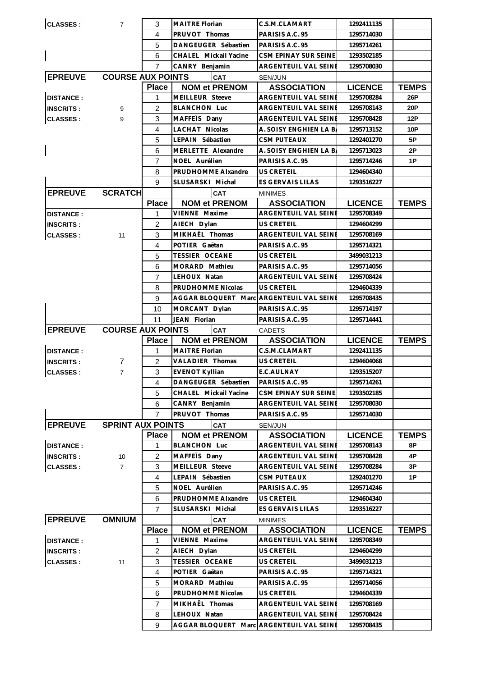| <b>CLASSES:</b>  | $\overline{7}$           | 3              | <b>MAITRE Florian</b>                                    | C.S.M.CLAMART               | 1292411135               |              |
|------------------|--------------------------|----------------|----------------------------------------------------------|-----------------------------|--------------------------|--------------|
|                  |                          | 4              | PRUVOT Thomas                                            | PARISIS A.C. 95             | 1295714030               |              |
|                  |                          | 5              | DANGEUGER Sébastien                                      | PARISIS A.C. 95             | 1295714261               |              |
|                  |                          | 6              | CHALEL Mickail Yacine                                    | CSM EPINAY SUR SEINE        | 1293502185               |              |
|                  |                          | $\overline{7}$ | CANRY Benjamin                                           | ARGENTEUIL VAL SEINE        | 1295708030               |              |
| <b>EPREUVE</b>   | <b>COURSE AUX POINTS</b> |                | <b>CAT</b>                                               | SEN/JUN                     |                          |              |
|                  |                          | <b>Place</b>   | <b>NOM et PRENOM</b>                                     | <b>ASSOCIATION</b>          | <b>LICENCE</b>           | <b>TEMPS</b> |
| <b>DISTANCE:</b> |                          | 1              | MEILLEUR Steeve                                          | ARGENTEUIL VAL SEINE        | 1295708284               | 26P          |
| <b>INSCRITS:</b> | 9                        | 2              | <b>BLANCHON Luc</b>                                      | ARGENTEUIL VAL SEINE        | 1295708143               | 20P          |
| <b>CLASSES:</b>  | 9                        | 3              | MAFFETS Dany                                             | <b>ARGENTEUIL VAL SEINE</b> | 1295708428               | 12P          |
|                  |                          | 4              | LACHAT Nicolas                                           | A. SOISY ENGHIEN LA B.      | 1295713152               | 10P          |
|                  |                          | 5              | LEPAIN Sébastien                                         | <b>CSM PUTEAUX</b>          | 1292401270               | 5P           |
|                  |                          | 6              | MERLETTE Alexandre                                       | A. SOISY ENGHIEN LA B.      | 1295713023               | 2Р           |
|                  |                          | $\overline{7}$ | NOEL Aurélien                                            | PARISIS A.C. 95             | 1295714246               | 1P           |
|                  |                          | 8              | PRUDHOMME Alxandre                                       | <b>US CRETEIL</b>           | 1294604340               |              |
|                  |                          | 9              | SLUSARSKI Michal                                         | ES GERVAIS LILAS            | 1293516227               |              |
| <b>EPREUVE</b>   | <b>SCRATCH</b>           |                | <b>CAT</b>                                               | <b>MINIMES</b>              |                          |              |
|                  |                          | <b>Place</b>   | <b>NOM et PRENOM</b>                                     | <b>ASSOCIATION</b>          | <b>LICENCE</b>           | <b>TEMPS</b> |
| <b>DISTANCE:</b> |                          | 1              | VIENNE Maxime                                            | ARGENTEUIL VAL SEINI        | 1295708349               |              |
| <b>INSCRITS:</b> |                          | 2              | AIECH Dylan                                              | US CRETEIL                  | 1294604299               |              |
| <b>CLASSES:</b>  | 11                       | 3              | MIKHAËL Thomas                                           | ARGENTEUIL VAL SEINE        | 1295708169               |              |
|                  |                          | 4              | POTIER Gaëtan                                            | PARISIS A.C. 95             | 1295714321               |              |
|                  |                          | 5              | <b>TESSIER OCEANE</b>                                    | US CRETEIL                  | 3499031213               |              |
|                  |                          | 6              | MORARD Mathieu                                           | PARISIS A.C. 95             | 1295714056               |              |
|                  |                          | $\overline{7}$ | LEHOUX Natan                                             | ARGENTEUIL VAL SEINE        | 1295708424               |              |
|                  |                          | 8              | PRUDHOMME Nicolas                                        | <b>US CRETEIL</b>           | 1294604339               |              |
|                  |                          | 9              | AGGAR BLOQUERT Marc ARGENTEUIL VAL SEINE                 |                             | 1295708435               |              |
|                  |                          | 10             | MORCANT Dylan                                            | PARISIS A.C. 95             | 1295714197               |              |
|                  |                          | 11             | JEAN Florian                                             | PARISIS A.C. 95             | 1295714441               |              |
|                  |                          |                |                                                          |                             |                          |              |
| <b>EPREUVE</b>   | <b>COURSE AUX POINTS</b> |                | <b>CAT</b>                                               | <b>CADETS</b>               |                          |              |
|                  |                          | Place          | <b>NOM et PRENOM</b>                                     | <b>ASSOCIATION</b>          | <b>LICENCE</b>           | <b>TEMPS</b> |
| <b>DISTANCE:</b> |                          | $\mathbf{1}$   | <b>MAITRE Florian</b>                                    | C.S.M.CLAMART               | 1292411135               |              |
| <b>INSCRITS:</b> | 7                        | 2              | VALADIER Thomas                                          | US CRETEIL                  | 1294604068               |              |
| <b>CLASSES:</b>  | $\overline{7}$           | 3              | <b>EVENOT Kyllian</b>                                    | E.C.AULNAY                  | 1293515207               |              |
|                  |                          | $\overline{4}$ | DANGEUGER Sébastien                                      | PARISIS A.C. 95             | 1295714261               |              |
|                  |                          | 5              | CHALEL Mickail Yacine                                    | CSM EPINAY SUR SEINE        | 1293502185               |              |
|                  |                          | 6              | CANRY Benjamin                                           | <b>ARGENTEUIL VAL SEINE</b> | 1295708030               |              |
|                  |                          | 7              | PRUVOT Thomas                                            | PARISIS A.C. 95             | 1295714030               |              |
| <b>EPREUVE</b>   | <b>SPRINT AUX POINTS</b> |                | <b>CAT</b>                                               | SEN/JUN                     |                          |              |
|                  |                          | <b>Place</b>   | <b>NOM et PRENOM</b>                                     | <b>ASSOCIATION</b>          | <b>LICENCE</b>           | <b>TEMPS</b> |
| <b>DISTANCE:</b> |                          | 1              | <b>BLANCHON Luc</b>                                      | ARGENTEUIL VAL SEINE        | 1295708143               | 8Ρ           |
| <b>INSCRITS:</b> | 10                       | $\overline{2}$ | MAFFETS Dany                                             | ARGENTEUIL VAL SEINE        | 1295708428               | 4P           |
| <b>CLASSES:</b>  | $\overline{7}$           | 3              | MEILLEUR Steeve                                          | ARGENTEUIL VAL SEINE        | 1295708284               | 3Р           |
|                  |                          | 4              | LEPAIN Sébastien                                         | <b>CSM PUTEAUX</b>          | 1292401270               | 1P           |
|                  |                          | 5              | NOEL Aurélien                                            | PARISIS A.C. 95             | 1295714246               |              |
|                  |                          | 6              | PRUDHOMME Alxandre                                       | US CRETEIL                  | 1294604340               |              |
|                  |                          | 7              | SLUSARSKI Michal                                         | ES GERVAIS LILAS            | 1293516227               |              |
| <b>EPREUVE</b>   | <b>OMNIUM</b>            |                | <b>CAT</b>                                               | <b>MINIMES</b>              |                          |              |
|                  |                          | <b>Place</b>   | <b>NOM et PRENOM</b>                                     | <b>ASSOCIATION</b>          | <b>LICENCE</b>           | <b>TEMPS</b> |
| <b>DISTANCE:</b> |                          | 1              | VIENNE Maxime                                            | ARGENTEUIL VAL SEINE        | 1295708349               |              |
| <b>INSCRITS:</b> |                          | $\overline{c}$ | AIECH Dylan                                              | US CRETEIL                  | 1294604299               |              |
| <b>CLASSES:</b>  | 11                       | 3              | TESSIER OCEANE                                           | US CRETEIL                  | 3499031213               |              |
|                  |                          | 4              | POTIER Gaëtan                                            | PARISIS A.C. 95             | 1295714321               |              |
|                  |                          | 5              | MORARD Mathieu                                           | PARISIS A.C. 95             | 1295714056               |              |
|                  |                          | 6              | PRUDHOMME Nicolas                                        | US CRETEIL                  | 1294604339               |              |
|                  |                          | $\overline{7}$ | MIKHAËL Thomas                                           | ARGENTEUIL VAL SEINE        | 1295708169               |              |
|                  |                          | 8<br>9         | LEHOUX Natan<br>AGGAR BLOQUERT Marc ARGENTEUIL VAL SEINE | ARGENTEUIL VAL SEINE        | 1295708424<br>1295708435 |              |